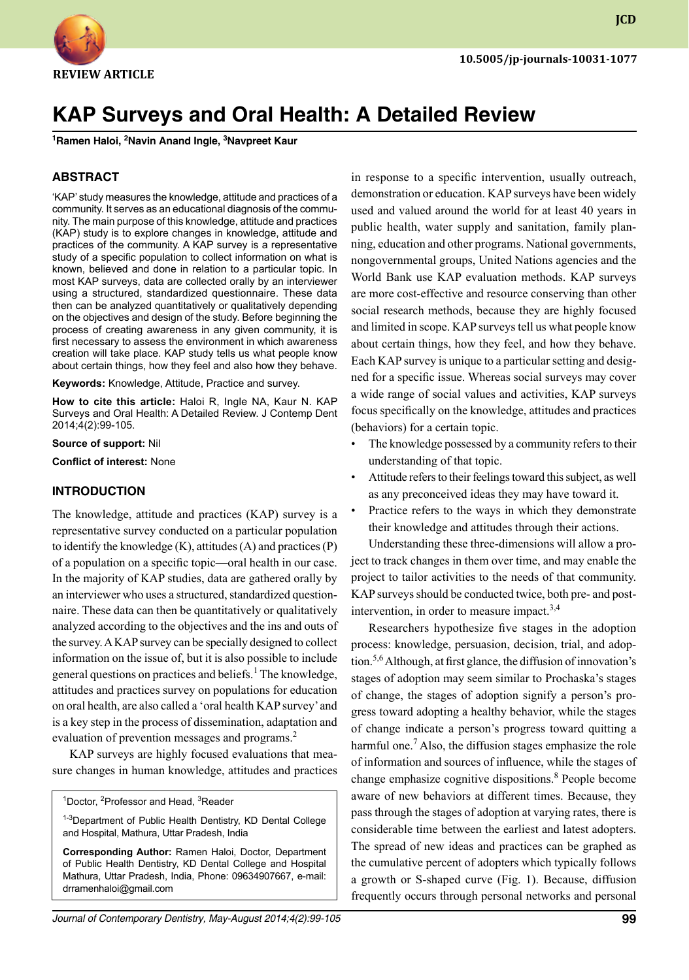

**JCD**

# **Kap Surveys and Oral Health: A Detailed Review 1**

**Ramen Haloi, 2 Navin Anand Ingle, 3 Navpreet Kaur**

#### **ABSTRACT**

'KAP' study measures the knowledge, attitude and practices of a community. It serves as an educational diagnosis of the community. The main purpose of this knowledge, attitude and practices (KAP) study is to explore changes in knowledge, attitude and practices of the community. A KAP survey is a representative study of a specific population to collect information on what is known, believed and done in relation to a particular topic. In most KAP surveys, data are collected orally by an interviewer using a structured, standardized questionnaire. These data then can be analyzed quantitatively or qualitatively depending on the objectives and design of the study. Before beginning the process of creating awareness in any given community, it is first necessary to assess the environment in which awareness creation will take place. KAP study tells us what people know about certain things, how they feel and also how they behave.

**Keywords:** Knowledge, attitude, practice and survey.

**How to cite this article:** Haloi R, Ingle NA, Kaur N. Kap Surveys and Oral Health: A Detailed Review. J Contemp Dent 2014;4(2):99-105.

**Source of support:** Nil

**Conflict of interest:** None

#### **Introduction**

The knowledge, attitude and practices (KAP) survey is a representative survey conducted on a particular population to identify the knowledge  $(K)$ , attitudes  $(A)$  and practices  $(P)$ of a population on a specific topic—oral health in our case. In the majority of KAP studies, data are gathered orally by an interviewer who uses a structured, standardized questionnaire. These data can then be quantitatively or qualitatively analyzed according to the objectives and the ins and outs of the survey. A KAP survey can be specially designed to collect information on the issue of, but it is also possible to include general questions on practices and beliefs.<sup>1</sup> The knowledge, attitudes and practices survey on populations for education on oral health, are also called a 'oral health KAP survey' and is a key step in the process of dissemination, adaptation and evaluation of prevention messages and programs.<sup>2</sup>

KAP surveys are highly focused evaluations that measure changes in human knowledge, attitudes and practices

<sup>1</sup>Doctor, <sup>2</sup>Professor and Head, <sup>3</sup>Reader

<sup>1-3</sup>Department of Public Health Dentistry, KD Dental College and Hospital, Mathura, Uttar Pradesh, India

**Corresponding Author:** Ramen Haloi, Doctor, Department of Public Health Dentistry, KD Dental College and Hospital Mathura, Uttar Pradesh, India, Phone: 09634907667, e-mail: drramenhaloi@gmail.com

in response to a specific intervention, usually outreach, demonstration or education. KAP surveys have been widely used and valued around the world for at least 40 years in public health, water supply and sanitation, family planning, education and other programs. National governments, nongovernmental groups, United Nations agencies and the World Bank use KAP evaluation methods. KAP surveys are more cost-effective and resource conserving than other social research methods, because they are highly focused and limited in scope. KAP surveys tell us what people know about certain things, how they feel, and how they behave. Each KAP survey is unique to a particular setting and designed for a specific issue. Whereas social surveys may cover a wide range of social values and activities, KAP surveys focus specifically on the knowledge, attitudes and practices (behaviors) for a certain topic.

- The knowledge possessed by a community refers to their understanding of that topic.
- Attitude refers to their feelings toward this subject, as well as any preconceived ideas they may have toward it.
- Practice refers to the ways in which they demonstrate their knowledge and attitudes through their actions.

Understanding these three-dimensions will allow a project to track changes in them over time, and may enable the project to tailor activities to the needs of that community. KAP surveys should be conducted twice, both pre- and postintervention, in order to measure impact.<sup>3,4</sup>

Researchers hypothesize five stages in the adoption process: knowledge, persuasion, decision, trial, and adoption.5,6 Although, at first glance, the diffusion of innovation's stages of adoption may seem similar to Prochaska's stages of change, the stages of adoption signify a person's progress toward adopting a healthy behavior, while the stages of change indicate a person's progress toward quitting a harmful one.<sup>7</sup> Also, the diffusion stages emphasize the role of information and sources of influence, while the stages of change emphasize cognitive dispositions.<sup>8</sup> People become aware of new behaviors at different times. Because, they pass through the stages of adoption at varying rates, there is considerable time between the earliest and latest adopters. The spread of new ideas and practices can be graphed as the cumulative percent of adopters which typically follows a growth or S-shaped curve (Fig. 1). Because, diffusion frequently occurs through personal networks and personal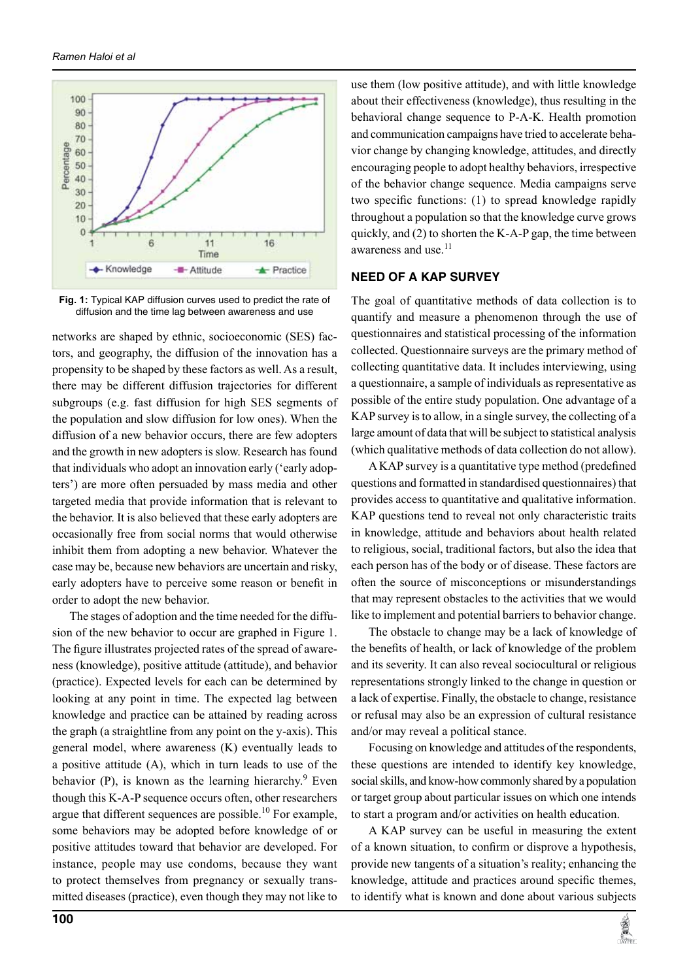

**Fig. 1:** Typical KAP diffusion curves used to predict the rate of diffusion and the time lag between awareness and use

networks are shaped by ethnic, socioeconomic (SES) factors, and geography, the diffusion of the innovation has a propensity to be shaped by these factors as well. As a result, there may be different diffusion trajectories for different subgroups (e.g. fast diffusion for high SES segments of the population and slow diffusion for low ones). When the diffusion of a new behavior occurs, there are few adopters and the growth in new adopters is slow. Research has found that individuals who adopt an innovation early ('early adopters') are more often persuaded by mass media and other targeted media that provide information that is relevant to the behavior. It is also believed that these early adopters are occasionally free from social norms that would otherwise inhibit them from adopting a new behavior. Whatever the case may be, because new behaviors are uncertain and risky, early adopters have to perceive some reason or benefit in order to adopt the new behavior.

The stages of adoption and the time needed for the diffusion of the new behavior to occur are graphed in Figure 1. The figure illustrates projected rates of the spread of awareness (knowledge), positive attitude (attitude), and behavior (practice). Expected levels for each can be determined by looking at any point in time. The expected lag between knowledge and practice can be attained by reading across the graph (a straightline from any point on the y-axis). This general model, where awareness (K) eventually leads to a positive attitude (A), which in turn leads to use of the behavior (P), is known as the learning hierarchy. $9$  Even though this K-A-P sequence occurs often, other researchers argue that different sequences are possible.<sup>10</sup> For example, some behaviors may be adopted before knowledge of or positive attitudes toward that behavior are developed. For instance, people may use condoms, because they want to protect themselves from pregnancy or sexually transmitted diseases (practice), even though they may not like to

use them (low positive attitude), and with little knowledge about their effectiveness (knowledge), thus resulting in the behavioral change sequence to P-A-K. Health promotion and communication campaigns have tried to accelerate behavior change by changing knowledge, attitudes, and directly encouraging people to adopt healthy behaviors, irrespective of the behavior change sequence. Media campaigns serve two specific functions: (1) to spread knowledge rapidly throughout a population so that the knowledge curve grows quickly, and (2) to shorten the K-A-P gap, the time between awareness and use.<sup>11</sup>

#### **NEED OF A KAP SURVEY**

The goal of quantitative methods of data collection is to quantify and measure a phenomenon through the use of questionnaires and statistical processing of the information collected. Questionnaire surveys are the primary method of collecting quantitative data. It includes interviewing, using a questionnaire, a sample of individuals as representative as possible of the entire study population. One advantage of a KAP survey is to allow, in a single survey, the collecting of a large amount of data that will be subject to statistical analysis (which qualitative methods of data collection do not allow).

A KAP survey is a quantitative type method (predefined questions and formatted in standardised questionnaires) that provides access to quantitative and qualitative information. KAP questions tend to reveal not only characteristic traits in knowledge, attitude and behaviors about health related to religious, social, traditional factors, but also the idea that each person has of the body or of disease. These factors are often the source of misconceptions or misunderstandings that may represent obstacles to the activities that we would like to implement and potential barriers to behavior change.

The obstacle to change may be a lack of knowledge of the benefits of health, or lack of knowledge of the problem and its severity. It can also reveal sociocultural or religious representations strongly linked to the change in question or a lack of expertise. Finally, the obstacle to change, resistance or refusal may also be an expression of cultural resistance and/or may reveal a political stance.

Focusing on knowledge and attitudes of the respondents, these questions are intended to identify key knowledge, social skills, and know-how commonly shared by a population or target group about particular issues on which one intends to start a program and/or activities on health education.

A KAP survey can be useful in measuring the extent of a known situation, to confirm or disprove a hypothesis, provide new tangents of a situation's reality; enhancing the knowledge, attitude and practices around specific themes, to identify what is known and done about various subjects

**DESCRIPTION**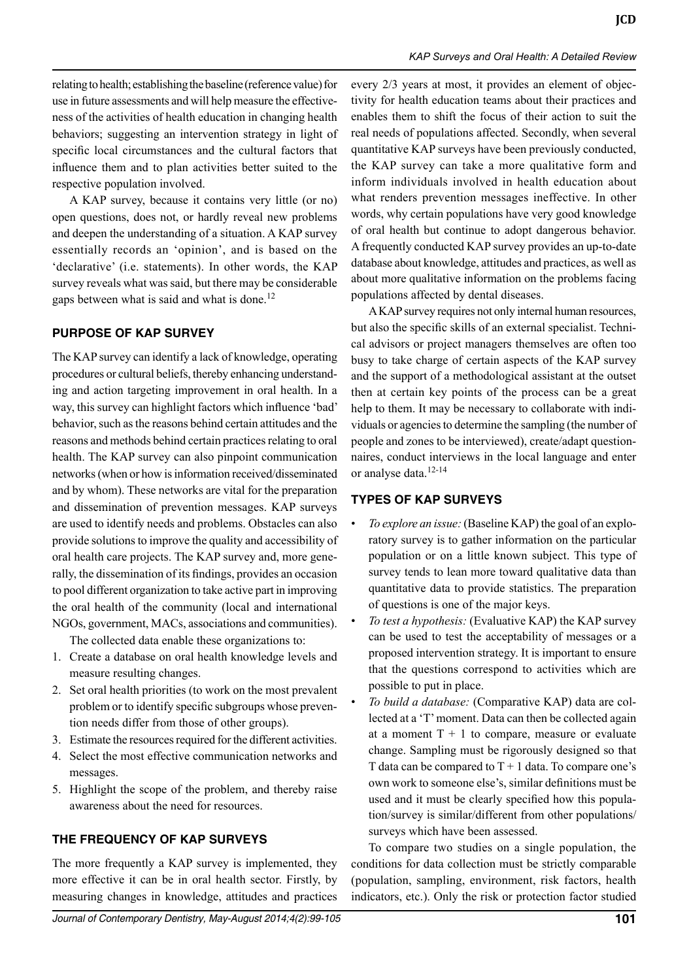relating to health; establishing the baseline (reference value) for use in future assessments and will help measure the effectiveness of the activities of health education in changing health behaviors; suggesting an intervention strategy in light of specific local circumstances and the cultural factors that influence them and to plan activities better suited to the respective population involved.

A KAP survey, because it contains very little (or no) open questions, does not, or hardly reveal new problems and deepen the understanding of a situation. A KAP survey essentially records an 'opinion', and is based on the 'declarative' (i.e. statements). In other words, the KAP survey reveals what was said, but there may be considerable gaps between what is said and what is done.<sup>12</sup>

#### **PURPOSE OF KAP SURVEY**

The KAP survey can identify a lack of knowledge, operating procedures or cultural beliefs, thereby enhancing understanding and action targeting improvement in oral health. In a way, this survey can highlight factors which influence 'bad' behavior, such as the reasons behind certain attitudes and the reasons and methods behind certain practices relating to oral health. The KAP survey can also pinpoint communication networks (when or how is information received/disseminated and by whom). These networks are vital for the preparation and dissemination of prevention messages. KAP surveys are used to identify needs and problems. Obstacles can also provide solutions to improve the quality and accessibility of oral health care projects. The KAP survey and, more generally, the dissemination of its findings, provides an occasion to pool different organization to take active part in improving the oral health of the community (local and international NGOs, government, MACs, associations and communities).

The collected data enable these organizations to:

- 1. Create a database on oral health knowledge levels and measure resulting changes.
- 2. Set oral health priorities (to work on the most prevalent problem or to identify specific subgroups whose prevention needs differ from those of other groups).
- 3. Estimate the resources required for the different activities.
- 4. Select the most effective communication networks and messages.
- 5. Highlight the scope of the problem, and thereby raise awareness about the need for resources.

#### **THE FREQUENCY OF KAP SURVEYS**

The more frequently a KAP survey is implemented, they more effective it can be in oral health sector. Firstly, by measuring changes in knowledge, attitudes and practices every 2/3 years at most, it provides an element of objectivity for health education teams about their practices and enables them to shift the focus of their action to suit the real needs of populations affected. Secondly, when several quantitative KAP surveys have been previously conducted, the KAP survey can take a more qualitative form and inform individuals involved in health education about what renders prevention messages ineffective. In other words, why certain populations have very good knowledge of oral health but continue to adopt dangerous behavior. A frequently conducted KAP survey provides an up-to-date database about knowledge, attitudes and practices, as well as about more qualitative information on the problems facing populations affected by dental diseases.

A KAP survey requires not only internal human resources, but also the specific skills of an external specialist. Technical advisors or project managers themselves are often too busy to take charge of certain aspects of the KAP survey and the support of a methodological assistant at the outset then at certain key points of the process can be a great help to them. It may be necessary to collaborate with individuals or agencies to determine the sampling (the number of people and zones to be interviewed), create/adapt questionnaires, conduct interviews in the local language and enter or analyse data.<sup>12-14</sup>

#### **TYPES OF KAP SURVEYS**

- *To explore an issue:* (Baseline KAP) the goal of an exploratory survey is to gather information on the particular population or on a little known subject. This type of survey tends to lean more toward qualitative data than quantitative data to provide statistics. The preparation of questions is one of the major keys.
- *To test a hypothesis:* (Evaluative KAP) the KAP survey can be used to test the acceptability of messages or a proposed intervention strategy. It is important to ensure that the questions correspond to activities which are possible to put in place.
- *To build a database:* (Comparative KAP) data are collected at a 'T' moment. Data can then be collected again at a moment  $T + 1$  to compare, measure or evaluate change. Sampling must be rigorously designed so that T data can be compared to  $T + 1$  data. To compare one's own work to someone else's, similar definitions must be used and it must be clearly specified how this population/survey is similar/different from other populations/ surveys which have been assessed.

To compare two studies on a single population, the conditions for data collection must be strictly comparable (population, sampling, environment, risk factors, health indicators, etc.). Only the risk or protection factor studied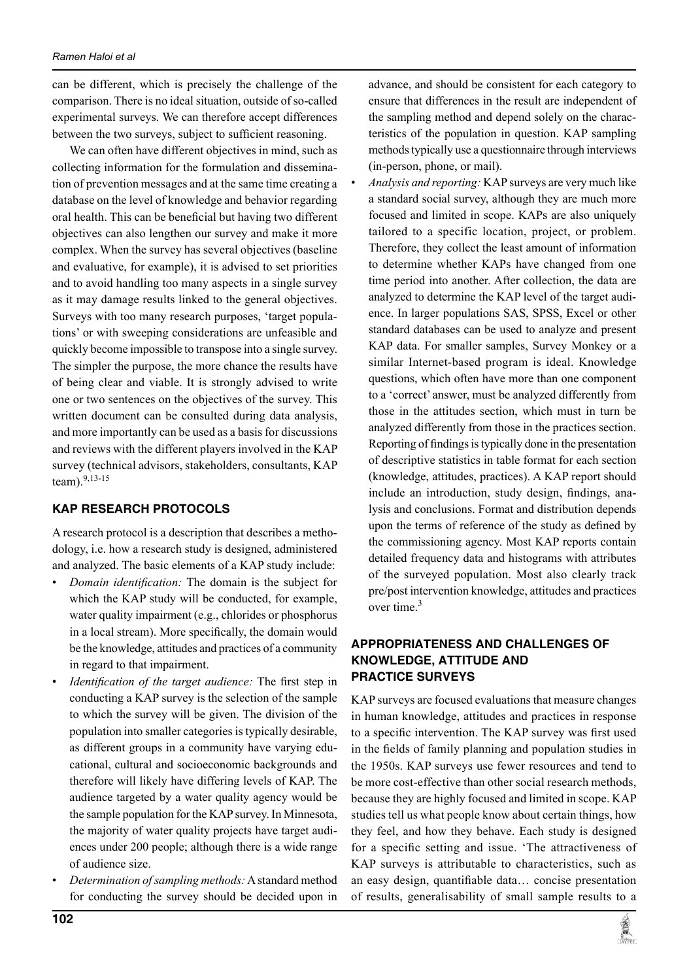can be different, which is precisely the challenge of the comparison. There is no ideal situation, outside of so-called experimental surveys. We can therefore accept differences between the two surveys, subject to sufficient reasoning.

We can often have different objectives in mind, such as collecting information for the formulation and dissemination of prevention messages and at the same time creating a database on the level of knowledge and behavior regarding oral health. This can be beneficial but having two different objectives can also lengthen our survey and make it more complex. When the survey has several objectives (baseline and evaluative, for example), it is advised to set priorities and to avoid handling too many aspects in a single survey as it may damage results linked to the general objectives. Surveys with too many research purposes, 'target populations' or with sweeping considerations are unfeasible and quickly become impossible to transpose into a single survey. The simpler the purpose, the more chance the results have of being clear and viable. It is strongly advised to write one or two sentences on the objectives of the survey. This written document can be consulted during data analysis, and more importantly can be used as a basis for discussions and reviews with the different players involved in the KAP survey (technical advisors, stakeholders, consultants, KAP team).9,13-15

### **KAP RESEARCH PROTOCOLS**

A research protocol is a description that describes a methodology, i.e. how a research study is designed, administered and analyzed. The basic elements of a KAP study include:

- *Domain identification:* The domain is the subject for which the KAP study will be conducted, for example, water quality impairment (e.g., chlorides or phosphorus in a local stream). More specifically, the domain would be the knowledge, attitudes and practices of a community in regard to that impairment.
- *Identification of the target audience:* The first step in conducting a KAP survey is the selection of the sample to which the survey will be given. The division of the population into smaller categories is typically desirable, as different groups in a community have varying educational, cultural and socioeconomic backgrounds and therefore will likely have differing levels of KAP. The audience targeted by a water quality agency would be the sample population for the KAP survey. In Minnesota, the majority of water quality projects have target audiences under 200 people; although there is a wide range of audience size.
- *Determination of sampling methods:* A standard method for conducting the survey should be decided upon in

advance, and should be consistent for each category to ensure that differences in the result are independent of the sampling method and depend solely on the characteristics of the population in question. KAP sampling methods typically use a questionnaire through interviews (in-person, phone, or mail).

• *Analysis and reporting:* KAP surveys are very much like a standard social survey, although they are much more focused and limited in scope. KAPs are also uniquely tailored to a specific location, project, or problem. Therefore, they collect the least amount of information to determine whether KAPs have changed from one time period into another. After collection, the data are analyzed to determine the KAP level of the target audience. In larger populations SAS, SPSS, Excel or other standard databases can be used to analyze and present KAP data. For smaller samples, Survey Monkey or a similar Internet-based program is ideal. Knowledge questions, which often have more than one component to a 'correct' answer, must be analyzed differently from those in the attitudes section, which must in turn be analyzed differently from those in the practices section. Reporting of findings is typically done in the presentation of descriptive statistics in table format for each section (knowledge, attitudes, practices). A KAP report should include an introduction, study design, findings, analysis and conclusions. Format and distribution depends upon the terms of reference of the study as defined by the commissioning agency. Most KAP reports contain detailed frequency data and histograms with attributes of the surveyed population. Most also clearly track pre/post intervention knowledge, attitudes and practices over time.<sup>3</sup>

## **APPROPRIATENESS AND CHALLENGES OF KNOWLEDGE, ATTITUDE AND PRACTICE SURVEYS**

KAP surveys are focused evaluations that measure changes in human knowledge, attitudes and practices in response to a specific intervention. The KAP survey was first used in the fields of family planning and population studies in the 1950s. KAP surveys use fewer resources and tend to be more cost-effective than other social research methods, because they are highly focused and limited in scope. KAP studies tell us what people know about certain things, how they feel, and how they behave. Each study is designed for a specific setting and issue. 'The attractiveness of KAP surveys is attributable to characteristics, such as an easy design, quantifiable data… concise presentation of results, generalisability of small sample results to a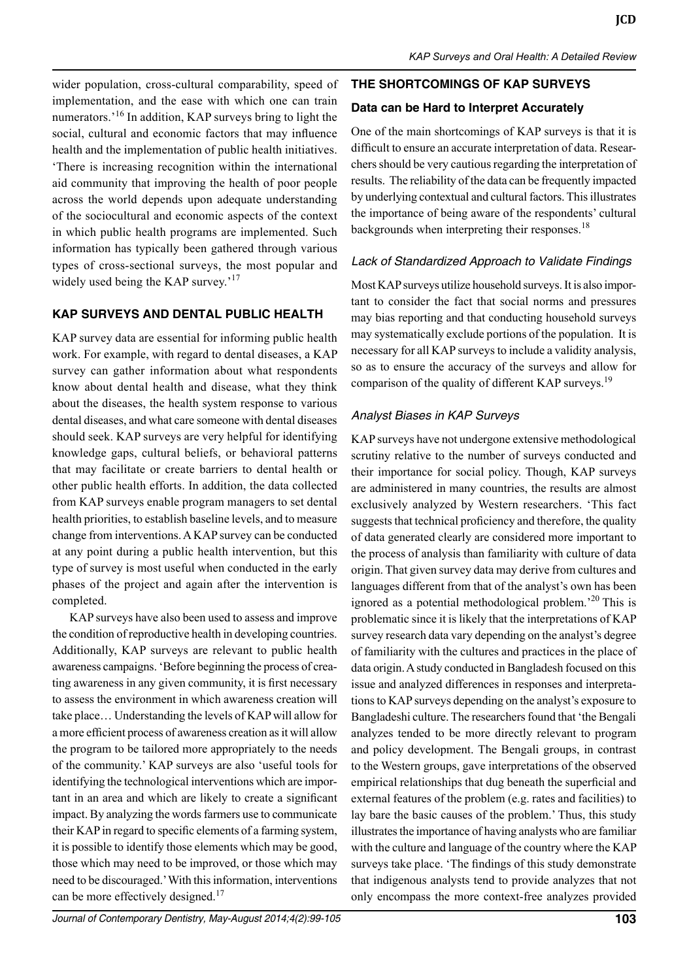wider population, cross-cultural comparability, speed of implementation, and the ease with which one can train numerators.'16 In addition, KAP surveys bring to light the social, cultural and economic factors that may influence health and the implementation of public health initiatives. 'There is increasing recognition within the international aid community that improving the health of poor people across the world depends upon adequate understanding of the sociocultural and economic aspects of the context in which public health programs are implemented. Such information has typically been gathered through various types of cross-sectional surveys, the most popular and widely used being the KAP survey.<sup>'17</sup>

#### **KAP SURVEYS AND DENTAL PUBLIC HEALTH**

KAP survey data are essential for informing public health work. For example, with regard to dental diseases, a KAP survey can gather information about what respondents know about dental health and disease, what they think about the diseases, the health system response to various dental diseases, and what care someone with dental diseases should seek. KAP surveys are very helpful for identifying knowledge gaps, cultural beliefs, or behavioral patterns that may facilitate or create barriers to dental health or other public health efforts. In addition, the data collected from KAP surveys enable program managers to set dental health priorities, to establish baseline levels, and to measure change from interventions. A KAP survey can be conducted at any point during a public health intervention, but this type of survey is most useful when conducted in the early phases of the project and again after the intervention is completed.

KAP surveys have also been used to assess and improve the condition of reproductive health in developing countries. Additionally, KAP surveys are relevant to public health awareness campaigns. 'Before beginning the process of creating awareness in any given community, it is first necessary to assess the environment in which awareness creation will take place… Understanding the levels of KAP will allow for a more efficient process of awareness creation as it will allow the program to be tailored more appropriately to the needs of the community.' KAP surveys are also 'useful tools for identifying the technological interventions which are important in an area and which are likely to create a significant impact. By analyzing the words farmers use to communicate their KAP in regard to specific elements of a farming system, it is possible to identify those elements which may be good, those which may need to be improved, or those which may need to be discouraged.' With this information, interventions can be more effectively designed.<sup>17</sup>

## **THE SHORTCOMINGS OF KAP SURVEYS**

## **Data can be Hard to Interpret Accurately**

One of the main shortcomings of KAP surveys is that it is difficult to ensure an accurate interpretation of data. Researchers should be very cautious regarding the interpretation of results. The reliability of the data can be frequently impacted by underlying contextual and cultural factors. This illustrates the importance of being aware of the respondents' cultural backgrounds when interpreting their responses.<sup>18</sup>

## *Lack of Standardized Approach to Validate Findings*

Most KAP surveys utilize household surveys. It is also important to consider the fact that social norms and pressures may bias reporting and that conducting household surveys may systematically exclude portions of the population. It is necessary for all KAP surveys to include a validity analysis, so as to ensure the accuracy of the surveys and allow for comparison of the quality of different KAP surveys.<sup>19</sup>

## *Analyst Biases in KAP Surveys*

KAP surveys have not undergone extensive methodological scrutiny relative to the number of surveys conducted and their importance for social policy. Though, KAP surveys are administered in many countries, the results are almost exclusively analyzed by Western researchers. 'This fact suggests that technical proficiency and therefore, the quality of data generated clearly are considered more important to the process of analysis than familiarity with culture of data origin. That given survey data may derive from cultures and languages different from that of the analyst's own has been ignored as a potential methodological problem.<sup>20</sup> This is problematic since it is likely that the interpretations of KAP survey research data vary depending on the analyst's degree of familiarity with the cultures and practices in the place of data origin. A study conducted in Bangladesh focused on this issue and analyzed differences in responses and interpretations to KAP surveys depending on the analyst's exposure to Bangladeshi culture. The researchers found that 'the Bengali analyzes tended to be more directly relevant to program and policy development. The Bengali groups, in contrast to the Western groups, gave interpretations of the observed empirical relationships that dug beneath the superficial and external features of the problem (e.g. rates and facilities) to lay bare the basic causes of the problem.' Thus, this study illustrates the importance of having analysts who are familiar with the culture and language of the country where the KAP surveys take place. 'The findings of this study demonstrate that indigenous analysts tend to provide analyzes that not only encompass the more context-free analyzes provided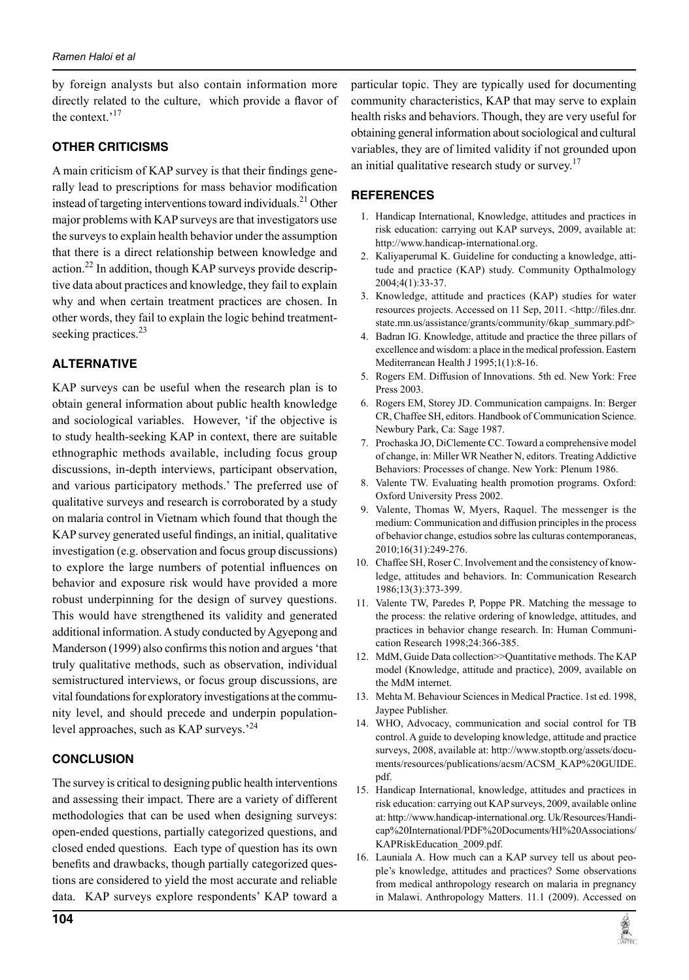by foreign analysts but also contain information more directly related to the culture, which provide a flavor of the context.'<sup>17</sup>

## **OTHER CRITICISMS**

A main criticism of KAP survey is that their findings generally lead to prescriptions for mass behavior modification instead of targeting interventions toward individuals.<sup>21</sup> Other major problems with KAP surveys are that investigators use the surveys to explain health behavior under the assumption that there is a direct relationship between knowledge and action.<sup>22</sup> In addition, though KAP surveys provide descriptive data about practices and knowledge, they fail to explain why and when certain treatment practices are chosen. In other words, they fail to explain the logic behind treatmentseeking practices.<sup>23</sup>

## **ALTERNATIVE**

KAP surveys can be useful when the research plan is to obtain general information about public health knowledge and sociological variables. However, 'if the objective is to study health-seeking kap in context, there are suitable ethnographic methods available, including focus group discussions, in-depth interviews, participant observation, and various participatory methods.' The preferred use of qualitative surveys and research is corroborated by a study on malaria control in Vietnam which found that though the KAP survey generated useful findings, an initial, qualitative investigation (e.g. observation and focus group discussions) to explore the large numbers of potential influences on behavior and exposure risk would have provided a more robust underpinning for the design of survey questions. This would have strengthened its validity and generated additional information.A study conducted by Agyepong and Manderson (1999) also confirms this notion and argues 'that truly qualitative methods, such as observation, individual semistructured interviews, or focus group discussions, are vital foundations for exploratory investigations at the community level, and should precede and underpin populationlevel approaches, such as KAP surveys.<sup>'24</sup>

## **CONCLUSION**

The survey is critical to designing public health interventions and assessing their impact. There are a variety of different methodologies that can be used when designing surveys: open-ended questions, partially categorized questions, and closed ended questions. Each type of question has its own benefits and drawbacks, though partially categorized questions are considered to yield the most accurate and reliable data. KAP surveys explore respondents' kap toward a

particular topic. They are typically used for documenting community characteristics, KAP that may serve to explain health risks and behaviors. Though, they are very useful for obtaining general information about sociological and cultural variables, they are of limited validity if not grounded upon an initial qualitative research study or survey.<sup>17</sup>

## **REFERENCES**

- 1. Handicap International, Knowledge, attitudes and practices in risk education: carrying out KAP surveys, 2009, available at: http://www.handicap-international.org.
- 2. Kaliyaperumal K. Guideline for conducting a knowledge, attitude and practice (KAP) study. Community Opthalmology 2004;4(1):33-37.
- 3. Knowledge, attitude and practices (KAP) studies for water resources projects. Accessed on 11 Sep, 2011. <http://files.dnr. state.mn.us/assistance/grants/community/6kap\_summary.pdf>
- 4. Badran IG. Knowledge, attitude and practice the three pillars of excellence and wisdom: a place in the medical profession. Eastern Mediterranean Health J 1995;1(1):8-16.
- 5. Rogers EM. Diffusion of Innovations. 5th ed. New York: Free Press 2003.
- 6. Rogers EM, Storey JD. Communication campaigns. in: Berger CR, Chaffee SH, editors. Handbook of Communication Science. Newbury Park, Ca: Sage 1987.
- 7. Prochaska JO, DiClemente CC. Toward a comprehensive model of change, in: Miller WR Neather N, editors. Treating Addictive Behaviors: Processes of change. New York: Plenum 1986.
- 8. Valente TW. Evaluating health promotion programs. Oxford: Oxford University Press 2002.
- 9. Valente, Thomas W, Myers, Raquel. The messenger is the medium: Communication and diffusion principles in the process of behavior change, estudios sobre las culturas contemporaneas, 2010;16(31):249-276.
- 10. Chaffee SH, Roser C. Involvement and the consistency of knowledge, attitudes and behaviors. in: Communication Research 1986;13(3):373-399.
- 11. Valente TW, Paredes P, Poppe PR. Matching the message to the process: the relative ordering of knowledge, attitudes, and practices in behavior change research. in: Human Communication Research 1998;24:366-385.
- 12. MdM, Guide Data collection>>Quantitative methods. The KAP model (Knowledge, attitude and practice), 2009, available on the MdM internet.
- 13. Mehta M. Behaviour Sciences in Medical Practice. 1st ed. 1998, Jaypee Publisher.
- 14. WHO, Advocacy, communication and social control for TB control. A guide to developing knowledge, attitude and practice surveys, 2008, available at: http://www.stoptb.org/assets/documents/resources/publications/acsm/ACSM\_KAP%20GUIDE. pdf.
- 15. Handicap International, knowledge, attitudes and practices in risk education: carrying out KAP surveys, 2009, available online at: http://www.handicap-international.org. Uk/Resources/Handicap%20International/PDF%20Documents/HI%20Associations/ KAPRiskEducation\_2009.pdf.
- 16. Launiala A. How much can a KAP survey tell us about people's knowledge, attitudes and practices? Some observations from medical anthropology research on malaria in pregnancy in Malawi. Anthropology Matters. 11.1 (2009). Accessed on